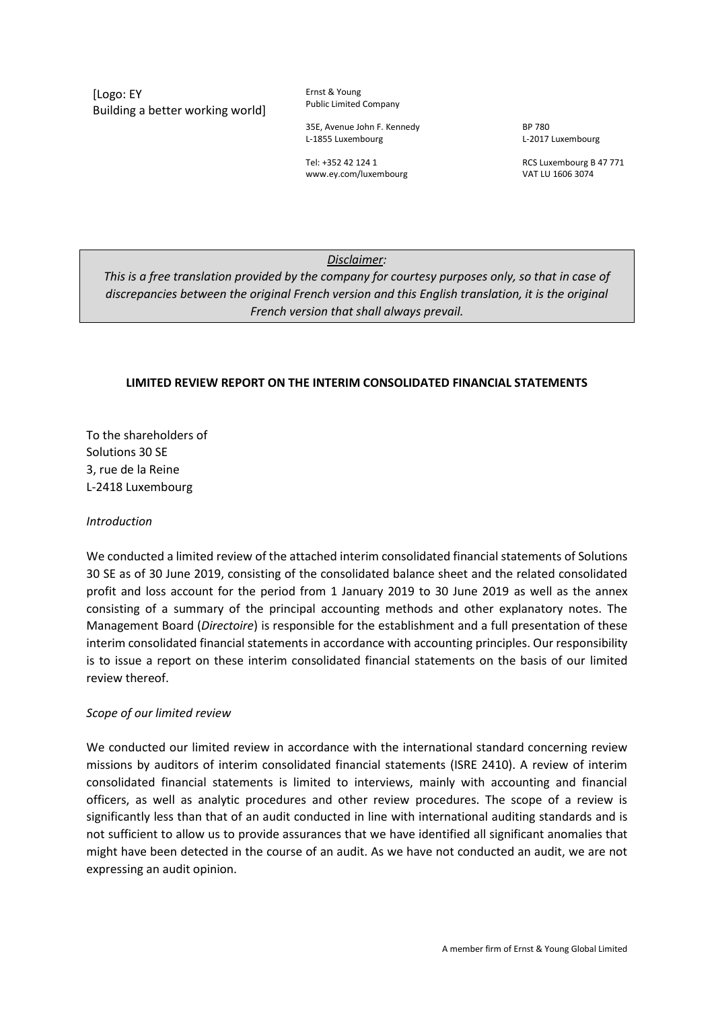[Logo: EY Building a better working world] Ernst & Young Public Limited Company

35E, Avenue John F. Kennedy L-1855 Luxembourg

Tel: +352 42 124 1 www.ey.com/luxembourg BP 780 L-2017 Luxembourg

RCS Luxembourg B 47 771 VAT LU 1606 3074

*Disclaimer:*

*This is a free translation provided by the company for courtesy purposes only, so that in case of discrepancies between the original French version and this English translation, it is the original French version that shall always prevail.*

# **LIMITED REVIEW REPORT ON THE INTERIM CONSOLIDATED FINANCIAL STATEMENTS**

To the shareholders of Solutions 30 SE 3, rue de la Reine L-2418 Luxembourg

#### *Introduction*

We conducted a limited review of the attached interim consolidated financial statements of Solutions 30 SE as of 30 June 2019, consisting of the consolidated balance sheet and the related consolidated profit and loss account for the period from 1 January 2019 to 30 June 2019 as well as the annex consisting of a summary of the principal accounting methods and other explanatory notes. The Management Board (*Directoire*) is responsible for the establishment and a full presentation of these interim consolidated financial statements in accordance with accounting principles. Our responsibility is to issue a report on these interim consolidated financial statements on the basis of our limited review thereof.

# *Scope of our limited review*

We conducted our limited review in accordance with the international standard concerning review missions by auditors of interim consolidated financial statements (ISRE 2410). A review of interim consolidated financial statements is limited to interviews, mainly with accounting and financial officers, as well as analytic procedures and other review procedures. The scope of a review is significantly less than that of an audit conducted in line with international auditing standards and is not sufficient to allow us to provide assurances that we have identified all significant anomalies that might have been detected in the course of an audit. As we have not conducted an audit, we are not expressing an audit opinion.